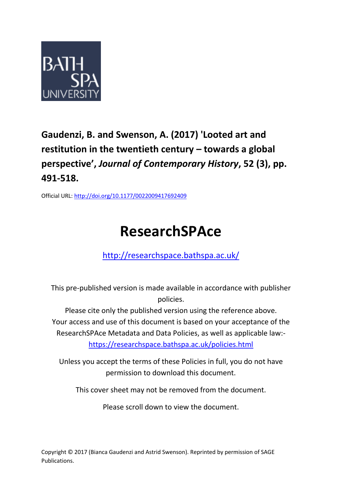

## **Gaudenzi, B. and Swenson, A. (2017) 'Looted art and restitution in the twentieth century – towards a global perspective',** *Journal of Contemporary History***, 52 (3), pp. 491-518.**

Official URL:<http://doi.org/10.1177/0022009417692409>

# **ResearchSPAce**

<http://researchspace.bathspa.ac.uk/>

This pre-published version is made available in accordance with publisher policies.

Please cite only the published version using the reference above. Your access and use of this document is based on your acceptance of the ResearchSPAce Metadata and Data Policies, as well as applicable law: https://researchspace.bathspa.ac.uk/policies.html

Unless you accept the terms of these Policies in full, you do not have permission to download this document.

This cover sheet may not be removed from the document.

Please scroll down to view the document.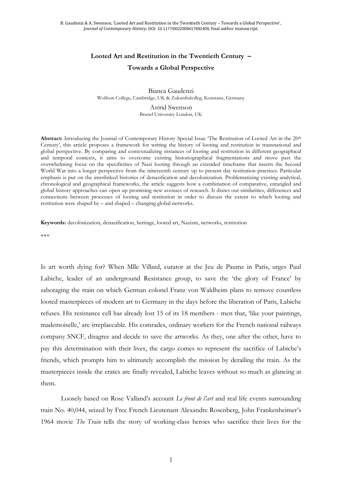### **Looted Art and Restitution in the Twentieth Century – Towards a Global Perspective**

Bianca Gaudenzi Wolfson College, Cambridge, UK & Zukunftskolleg, Konstanz, Germany

> Astrid Swenson Brunel University London, UK

Abstract: Introducing the Journal of Contemporary History Special Issue 'The Restitution of Looted Art in the 20<sup>th</sup> Century', this article proposes a framework for writing the history of looting and restitution in transnational and global perspective. By comparing and contextualizing instances of looting and restitution in different geographical and temporal contexts, it aims to overcome existing historiographical fragmentations and move past the overwhelming focus on the specificities of Nazi looting through an extended timeframe that inserts the Second World War into a longer perspective from the nineteenth century up to present day restitution practices. Particular emphasis is put on the interlinked histories of denazification and decolonization. Problematizing existing analytical, chronological and geographical frameworks, the article suggests how a combination of comparative, entangled and global history approaches can open up promising new avenues of research. It draws out similarities, differences and connections between processes of looting and restitution in order to discuss the extent to which looting and restitution were shaped by – and shaped – changing global networks.

**Keywords:** decolonization, denazification, heritage, looted art, Nazism, networks, restitution

\*\*\*

Is art worth dying for? When Mlle Villard, curator at the Jeu de Paume in Paris, urges Paul Labiche, leader of an underground Resistance group, to save the 'the glory of France' by sabotaging the train on which German colonel Franz von Waldheim plans to remove countless looted masterpieces of modern art to Germany in the days before the liberation of Paris, Labiche refuses. His resistance cell has already lost 15 of its 18 members - men that, 'like your paintings, mademoiselle,' are irreplaceable. His comrades, ordinary workers for the French national railways company SNCF, disagree and decide to save the artworks. As they, one after the other, have to pay this determination with their lives, the cargo comes to represent the sacrifice of Labiche's friends, which prompts him to ultimately accomplish the mission by derailing the train. As the masterpieces inside the crates are finally revealed, Labiche leaves without so much as glancing at them.

Loosely based on Rose Valland's account *Le front de l'art* and real life events surrounding train No. 40,044, seized by Free French Lieutenant Alexandre Rosenberg, John Frankenheimer's 1964 movie *The Train* tells the story of working-class heroes who sacrifice their lives for the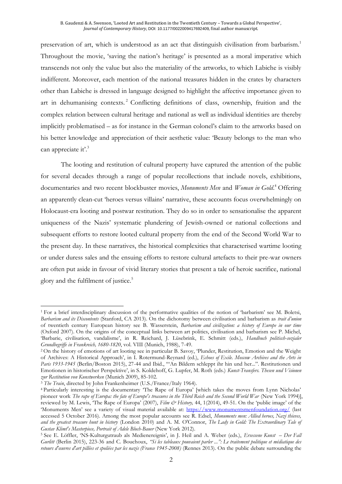preservation of art, which is understood as an act that distinguish civilisation from barbarism. 1 Throughout the movie, 'saving the nation's heritage' is presented as a moral imperative which transcends not only the value but also the materiality of the artworks, to which Labiche is visibly indifferent. Moreover, each mention of the national treasures hidden in the crates by characters other than Labiche is dressed in language designed to highlight the affective importance given to art in dehumanising contexts.<sup>2</sup> Conflicting definitions of class, ownership, fruition and the complex relation between cultural heritage and national as well as individual identities are thereby implicitly problematised – as for instance in the German colonel's claim to the artworks based on his better knowledge and appreciation of their aesthetic value: 'Beauty belongs to the man who can appreciate it'.<sup>3</sup>

The looting and restitution of cultural property have captured the attention of the public for several decades through a range of popular recollections that include novels, exhibitions, documentaries and two recent blockbuster movies, *Monuments Men* and *Woman in Gold*. <sup>4</sup> Offering an apparently clean-cut 'heroes versus villains' narrative, these accounts focus overwhelmingly on Holocaust-era looting and postwar restitution. They do so in order to sensationalise the apparent uniqueness of the Nazis' systematic plundering of Jewish-owned or national collections and subsequent efforts to restore looted cultural property from the end of the Second World War to the present day. In these narratives, the historical complexities that characterised wartime looting or under duress sales and the ensuing efforts to restore cultural artefacts to their pre-war owners are often put aside in favour of vivid literary stories that present a tale of heroic sacrifice, national glory and the fulfilment of justice.<sup>5</sup>

<sup>1</sup> For a brief interdisciplinary discussion of the performative qualities of the notion of 'barbarism' see M. Boletsi, *Barbarism and its Discontents* (Stanford, CA 2013). On the dichotomy between civilisation and barbarism as *trait d'union* of twentieth century European history see B. Wasserstein, *Barbarism and civilization: a history of Europe in our time* (Oxford 2007). On the origins of the conceptual links between art politics, civilisation and barbarism see P. Michel, 'Barbarie, civilisation, vandalisme', in R. Reichard, J. Lüsebrink, E. Schmitt (eds.), *Handbuch politisch-sozialer Grundbegriffe in Frankreich, 1680-1820*, vol. VIII (Munich, 1988), 7-49.

<sup>2</sup> On the history of emotions of art looting see in particular B. Savoy, 'Plunder, Restitution, Emotion and the Weight of Archives: A Historical Approach', in I. Rotermund-Reynard (ed.), *Echoes of Exile. Moscow Archives and the Arts in Paris 1933-1945* (Berlin/Boston 2015), 27-44 and Ibid., '"An Bildern schleppt ihr hin und her...". Restitutionen und Emotionen in historischer Perspektive', in S. Koldehoff, G. Lupfer, M. Roth (eds.) *Kunst-Transfers. Thesen und Visionen zur Restitution von Kunstwerken* (Munich 2009), 85-102.

<sup>&</sup>lt;sup>3</sup> The Train, directed by John Frankenheimer (U.S./France/Italy 1964).

<sup>4</sup> Particularly interesting is the documentary 'The Rape of Europa' [which takes the moves from Lynn Nicholas' pioneer work *The rape of Europa: the fate of Europe's treasures in the Third Reich and the Second World War* (New York 1994)], reviewed by M. Lewis, 'The Rape of Europa' (2007), *Film & History*, 44, 1(2014), 49-51. On the 'public image' of the 'Monuments Men' see a variety of visual material available at: <https://www.monumentsmenfoundation.org/> (last accessed 5 October 2016). Among the most popular accounts see R. Edsel, *Monuments men: Allied heroes, Nazi thieves, and the greatest treasure hunt in history* (London 2010) and A. M. O'Connor, *The Lady in Gold: The Extraordinary Tale of Gustav Klimt's Masterpiece, Portrait of Adele Bloch-Bauer* (New York 2012).

<sup>5</sup> See E. Löffler, 'NS-Kulturgutraub als Medienereignis', in J. Heil and A. Weber (eds.), *Ersessene Kunst – Der Fall Gurlitt* (Berlin 2015), 223-36 and C. Bouchoux, *"Si les tableaux pouvaient parler ...": Le traitement politique et médiatique des retours d'œuvres d'art pillées et spoliées par les nazis (France 1945-2008)* (Rennes 2013). On the public debate surrounding the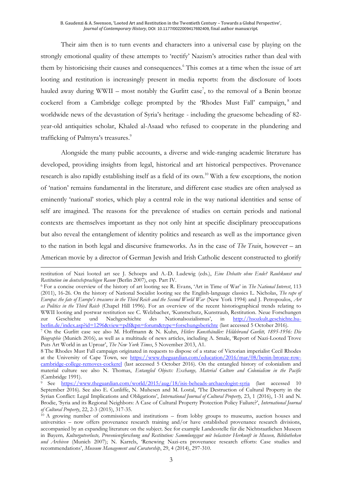Their aim then is to turn events and characters into a universal case by playing on the strongly emotional quality of these attempts to 'rectify' Nazism's atrocities rather than deal with them by historicising their causes and consequences.<sup>6</sup> This comes at a time when the issue of art looting and restitution is increasingly present in media reports: from the disclosure of loots hauled away during WWII – most notably the Gurlitt case<sup>7</sup>, to the removal of a Benin bronze cockerel from a Cambridge college prompted by the 'Rhodes Must Fall' campaign, <sup>8</sup> and worldwide news of the devastation of Syria's heritage - including the gruesome beheading of 82 year-old antiquities scholar, Khaled al-Asaad who refused to cooperate in the plundering and trafficking of Palmyra's treasures.<sup>9</sup>

Alongside the many public accounts, a diverse and wide-ranging academic literature has developed, providing insights from legal, historical and art historical perspectives. Provenance research is also rapidly establishing itself as a field of its own.<sup>10</sup> With a few exceptions, the notion of 'nation' remains fundamental in the literature, and different case studies are often analysed as eminently 'national' stories, which play a central role in the way national identities and sense of self are imagined. The reasons for the prevalence of studies on certain periods and national contexts are themselves important as they not only hint at specific disciplinary preoccupations but also reveal the entanglement of identity politics and research as well as the importance given to the nation in both legal and discursive frameworks. As in the case of *The Train*, however – an American movie by a director of German Jewish and Irish Catholic descent constructed to glorify

restitution of Nazi looted art see J. Schoeps and A.-D. Ludewig (eds.), *Eine Debatte ohne Ende? Raubkunst und Restitution im deutschsprachigen Raum* (Berlin 2007), esp. Part IV.

<sup>6</sup> For a concise overview of the history of art looting see R. Evans, 'Art in Time of War' in *The National Interest*, 113 (2011), 16-26. On the history of National Socialist looting see the English-language classics L. Nicholas, *The rape of Europa: the fate of Europe's treasures in the Third Reich and the Second World War* (New York 1994) and J. Petropoulos, *Art as Politics in the Third Reich* (Chapel Hill 1996). For an overview of the recent historiographical trends relating to WWII looting and postwar restitution see C. Welzbacher, 'Kunstschutz, Kunstraub, Restitution. Neue Forschungen<br>zur Geschichte und Nachgeschichte des Nationalsozialismus', in http://hsozkult.geschichte.huzur Geschichte und Nachgeschichte des Nationalsozialismus', in [berlin.de/index.asp?id=1296&view=pdf&pn=forum&type=forschungsberichte](http://hsozkult.geschichte.hu-berlin.de/index.asp?id=1296&view=pdf&pn=forum&type=forschungsberichte) (last accessed 5 October 2016).

<sup>7</sup> On the Gurlitt case see also M. Hoffmann & N. Kuhn, *Hitlers Kunsthändler: Hildebrand Gurlitt, 1895-1956: Die Biographie* (Munich 2016)*,* as well as a multitude of news articles, including A. Smale, 'Report of Nazi-Looted Trove Puts Art World in an Uproar', *The New York Times*, 5 November 2013, A1.

<sup>8</sup> The Rhodes Must Fall campaign originated in requests to dispose of a statue of Victorian imperialist Cecil Rhodes at the University of Cape Town, see [https://www.theguardian.com/education/2016/mar/08/benin-bronze-row](https://www.theguardian.com/education/2016/mar/08/benin-bronze-row-cambridge-college-removes-cockerel)[cambridge-college-removes-cockerel](https://www.theguardian.com/education/2016/mar/08/benin-bronze-row-cambridge-college-removes-cockerel) (last accessed 5 October 2016). On the entangled history of colonialism and material culture see also N. Thomas, *Entangled Objects: Exchange, Material Culture and Colonialism in the Pacific* (Cambridge 1991).

<sup>&</sup>lt;sup>9</sup> See <https://www.theguardian.com/world/2015/aug/18/isis-beheads-archaeologist-syria> (last accessed 10 September 2016). See also E. Cunliffe, N. Muhesen and M. Lostal, 'The Destruction of Cultural Property in the Syrian Conflict: Legal Implications and Obligations', *International Journal of Cultural Property,* 23, 1 (2016), 1-31 and N. Brodie, 'Syria and its Regional Neighbors: A Case of Cultural Property Protection Policy Failure?', *International Journal of Cultural Property*, 22, 2-3 (2015), 317-35.

<sup>&</sup>lt;sup>10</sup> A growing number of commissions and institutions – from lobby groups to museums, auction houses and universities – now offers provenance research training and/or have established provenance research divisions, accompanied by an expanding literature on the subject. See for example Landesstelle für die Nichtstaatlichen Museen in Bayern*, Kulturgutverluste, Provenienzforschung und Restitution: Sammlungsgut mit belasteter Herkunft in Museen, Bibliotheken und Archiven* (Munich 2007); N. Karrels, 'Renewing Nazi-era provenance research efforts: Case studies and recommendations', *Museum Management and Curatorship*, 29, 4 (2014), 297-310.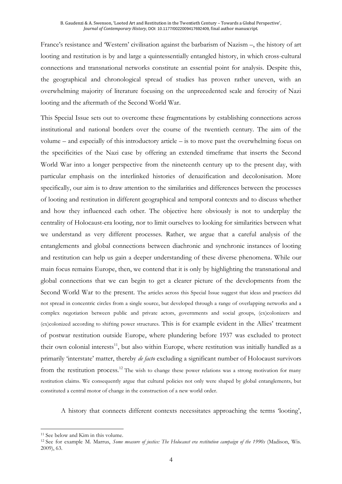France's resistance and 'Western' civilisation against the barbarism of Nazism –, the history of art looting and restitution is by and large a quintessentially entangled history, in which cross-cultural connections and transnational networks constitute an essential point for analysis. Despite this, the geographical and chronological spread of studies has proven rather uneven, with an overwhelming majority of literature focusing on the unprecedented scale and ferocity of Nazi looting and the aftermath of the Second World War.

This Special Issue sets out to overcome these fragmentations by establishing connections across institutional and national borders over the course of the twentieth century. The aim of the volume – and especially of this introductory article – is to move past the overwhelming focus on the specificities of the Nazi case by offering an extended timeframe that inserts the Second World War into a longer perspective from the nineteenth century up to the present day, with particular emphasis on the interlinked histories of denazification and decolonisation. More specifically, our aim is to draw attention to the similarities and differences between the processes of looting and restitution in different geographical and temporal contexts and to discuss whether and how they influenced each other. The objective here obviously is not to underplay the centrality of Holocaust-era looting, nor to limit ourselves to looking for similarities between what we understand as very different processes. Rather, we argue that a careful analysis of the entanglements and global connections between diachronic and synchronic instances of looting and restitution can help us gain a deeper understanding of these diverse phenomena. While our main focus remains Europe, then, we contend that it is only by highlighting the transnational and global connections that we can begin to get a clearer picture of the developments from the Second World War to the present. The articles across this Special Issue suggest that ideas and practices did not spread in concentric circles from a single source, but developed through a range of overlapping networks and a complex negotiation between public and private actors, governments and social groups, (ex)colonizers and (ex)colonized according to shifting power structures. This is for example evident in the Allies' treatment of postwar restitution outside Europe, where plundering before 1937 was excluded to protect their own colonial interests<sup>11</sup>, but also within Europe, where restitution was initially handled as a primarily 'interstate' matter, thereby *de facto* excluding a significant number of Holocaust survivors from the restitution process.<sup>12</sup> The wish to change these power relations was a strong motivation for many restitution claims. We consequently argue that cultural policies not only were shaped by global entanglements, but constituted a central motor of change in the construction of a new world order.

A history that connects different contexts necessitates approaching the terms 'looting',

<sup>&</sup>lt;sup>11</sup> See below and Kim in this volume.

<sup>&</sup>lt;sup>12</sup> See for example M. Marrus, *Some measure of justice: The Holocaust era restitution campaign of the 1990s* (Madison, Wis. 2009), 63.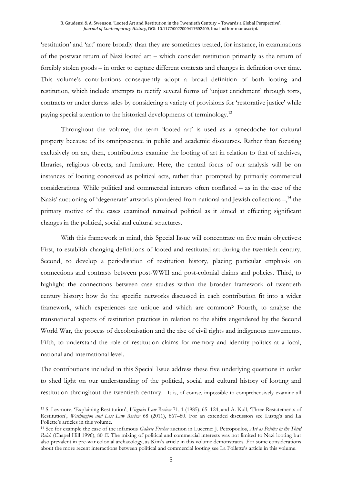'restitution' and 'art' more broadly than they are sometimes treated, for instance, in examinations of the postwar return of Nazi looted art – which consider restitution primarily as the return of forcibly stolen goods – in order to capture different contexts and changes in definition over time. This volume's contributions consequently adopt a broad definition of both looting and restitution, which include attempts to rectify several forms of 'unjust enrichment' through torts, contracts or under duress sales by considering a variety of provisions for 'restorative justice' while paying special attention to the historical developments of terminology.<sup>13</sup>

Throughout the volume, the term 'looted art' is used as a synecdoche for cultural property because of its omnipresence in public and academic discourses. Rather than focusing exclusively on art, then, contributions examine the looting of art in relation to that of archives, libraries, religious objects, and furniture. Here, the central focus of our analysis will be on instances of looting conceived as political acts, rather than prompted by primarily commercial considerations. While political and commercial interests often conflated – as in the case of the Nazis' auctioning of 'degenerate' artworks plundered from national and Jewish collections -,<sup>14</sup> the primary motive of the cases examined remained political as it aimed at effecting significant changes in the political, social and cultural structures.

With this framework in mind, this Special Issue will concentrate on five main objectives: First, to establish changing definitions of looted and restituted art during the twentieth century. Second, to develop a periodisation of restitution history, placing particular emphasis on connections and contrasts between post-WWII and post-colonial claims and policies. Third, to highlight the connections between case studies within the broader framework of twentieth century history: how do the specific networks discussed in each contribution fit into a wider framework, which experiences are unique and which are common? Fourth, to analyse the transnational aspects of restitution practices in relation to the shifts engendered by the Second World War, the process of decolonisation and the rise of civil rights and indigenous movements. Fifth, to understand the role of restitution claims for memory and identity politics at a local, national and international level.

The contributions included in this Special Issue address these five underlying questions in order to shed light on our understanding of the political, social and cultural history of looting and restitution throughout the twentieth century. It is, of course, impossible to comprehensively examine all

<sup>13</sup> S. Levmore, 'Explaining Restitution', *Virginia Law Review* 71, 1 (1985), 65–124, and A. Kull, 'Three Restatements of Restitution', *Washington and Less Law Review* 68 (2011), 867–80. For an extended discussion see Lustig's and La Follette's articles in this volume.

<sup>14</sup> See for example the case of the infamous *Galerie Fischer* auction in Lucerne: J. Petropoulos, *Art as Politics in the Third Reich* (Chapel Hill 1996), 80 ff. The mixing of political and commercial interests was not limited to Nazi looting but also prevalent in pre-war colonial archaeology, as Kim's article in this volume demonstrates. For some considerations about the more recent interactions between political and commercial looting see La Follette's article in this volume.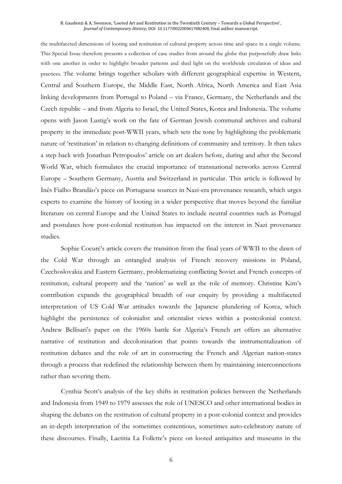the multifaceted dimensions of looting and restitution of cultural property across time and space in a single volume. This Special Issue therefore presents a collection of case studies from around the globe that purposefully draw links with one another in order to highlight broader patterns and shed light on the worldwide circulation of ideas and practices. The volume brings together scholars with different geographical expertise in Western, Central and Southern Europe, the Middle East, North Africa, North America and East Asia linking developments from Portugal to Poland – via France, Germany, the Netherlands and the Czech republic – and from Algeria to Israel, the United States, Korea and Indonesia. The volume opens with Jason Lustig's work on the fate of German Jewish communal archives and cultural property in the immediate post-WWII years, which sets the tone by highlighting the problematic nature of 'restitution' in relation to changing definitions of community and territory. It then takes a step back with Jonathan Petropoulos' article on art dealers before, during and after the Second World War, which formulates the crucial importance of transnational networks across Central Europe – Southern Germany, Austria and Switzerland in particular. This article is followed by Inês Fialho Brandão's piece on Portuguese sources in Nazi-era provenance research, which urges experts to examine the history of looting in a wider perspective that moves beyond the familiar literature on central Europe and the United States to include neutral countries such as Portugal and postulates how post-colonial restitution has impacted on the interest in Nazi provenance studies.

Sophie Coeuré's article covers the transition from the final years of WWII to the dawn of the Cold War through an entangled analysis of French recovery missions in Poland, Czechoslovakia and Eastern Germany, problematizing conflicting Soviet and French concepts of restitution, cultural property and the 'nation' as well as the role of memory. Christine Kim's contribution expands the geographical breadth of our enquiry by providing a multifaceted interpretation of US Cold War attitudes towards the Japanese plundering of Korea, which highlight the persistence of colonialist and orientalist views within a postcolonial context. Andrew Bellisari's paper on the 1960s battle for Algeria's French art offers an alternative narrative of restitution and decolonisation that points towards the instrumentalization of restitution debates and the role of art in constructing the French and Algerian nation-states through a process that redefined the relationship between them by maintaining interconnections rather than severing them.

Cynthia Scott's analysis of the key shifts in restitution policies between the Netherlands and Indonesia from 1949 to 1979 assesses the role of UNESCO and other international bodies in shaping the debates on the restitution of cultural property in a post-colonial context and provides an in-depth interpretation of the sometimes contentious, sometimes auto-celebratory nature of these discourses. Finally, Laetitia La Follette's piece on looted antiquities and museums in the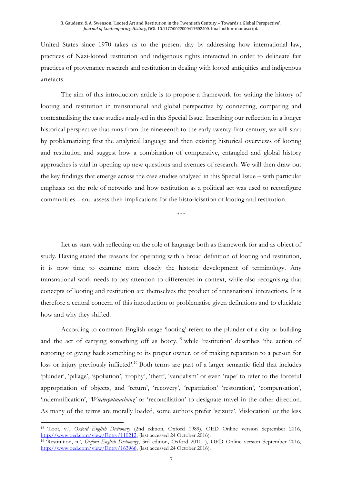United States since 1970 takes us to the present day by addressing how international law, practices of Nazi-looted restitution and indigenous rights interacted in order to delineate fair practices of provenance research and restitution in dealing with looted antiquities and indigenous artefacts.

The aim of this introductory article is to propose a framework for writing the history of looting and restitution in transnational and global perspective by connecting, comparing and contextualising the case studies analysed in this Special Issue. Inscribing our reflection in a longer historical perspective that runs from the nineteenth to the early twenty-first century, we will start by problematizing first the analytical language and then existing historical overviews of looting and restitution and suggest how a combination of comparative, entangled and global history approaches is vital in opening up new questions and avenues of research. We will then draw out the key findings that emerge across the case studies analysed in this Special Issue – with particular emphasis on the role of networks and how restitution as a political act was used to reconfigure communities – and assess their implications for the historicisation of looting and restitution.

\*\*\*

Let us start with reflecting on the role of language both as framework for and as object of study. Having stated the reasons for operating with a broad definition of looting and restitution, it is now time to examine more closely the historic development of terminology. Any transnational work needs to pay attention to differences in context, while also recognising that concepts of looting and restitution are themselves the product of transnational interactions. It is therefore a central concern of this introduction to problematise given definitions and to elucidate how and why they shifted.

According to common English usage 'looting' refers to the plunder of a city or building and the act of carrying something off as booty,<sup>15</sup> while 'restitution' describes 'the action of restoring or giving back something to its proper owner, or of making reparation to a person for loss or injury previously inflicted'.<sup>16</sup> Both terms are part of a larger semantic field that includes 'plunder', 'pillage', 'spoliation', 'trophy', 'theft', 'vandalism' or even 'rape' to refer to the forceful appropriation of objects, and 'return', 'recovery', 'repatriation' 'restoration', 'compensation', 'indemnification', *'Wiedergutmachung'* or 'reconciliation' to designate travel in the other direction. As many of the terms are morally loaded, some authors prefer 'seizure', 'dislocation' or the less

 $\overline{a}$ <sup>15</sup> 'Loot, v.', *Oxford English Dictionary* (2nd edition, Oxford 1989), OED Online version September 2016, [http://www.oed.com/view/Entry/110212,](http://www.oed.com/view/Entry/110212) (last accessed 24 October 2016).

<sup>16</sup> 'Restitution, n.', *Oxford English Dictionary*, 3rd edition, Oxford 2010. ), OED Online version September 2016, [http://www.oed.com/view/Entry/163966,](http://www.oed.com/view/Entry/163966) (last accessed 24 October 2016).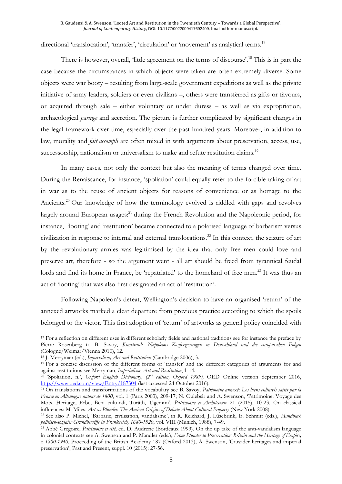directional 'translocation', 'transfer', 'circulation' or 'movement' as analytical terms.<sup>17</sup>

There is however, overall, 'little agreement on the terms of discourse'.<sup>18</sup> This is in part the case because the circumstances in which objects were taken are often extremely diverse. Some objects were war booty – resulting from large-scale government expeditions as well as the private initiative of army leaders, soldiers or even civilians –, others were transferred as gifts or favours, or acquired through sale – either voluntary or under duress – as well as via expropriation, archaeological *partage* and accretion. The picture is further complicated by significant changes in the legal framework over time, especially over the past hundred years. Moreover, in addition to law, morality and *fait accompli* are often mixed in with arguments about preservation, access, use, successorship, nationalism or universalism to make and refute restitution claims.<sup>19</sup>

In many cases, not only the context but also the meaning of terms changed over time. During the Renaissance, for instance, 'spoliation' could equally refer to the forcible taking of art in war as to the reuse of ancient objects for reasons of convenience or as homage to the Ancients.<sup>20</sup> Our knowledge of how the terminology evolved is riddled with gaps and revolves largely around European usages:<sup>21</sup> during the French Revolution and the Napoleonic period, for instance, 'looting' and 'restitution' became connected to a polarised language of barbarism versus civilization in response to internal and external translocations.<sup>22</sup> In this context, the seizure of art by the revolutionary armies was legitimised by the idea that only free men could love and preserve art, therefore - so the argument went - all art should be freed from tyrannical feudal lords and find its home in France, be 'repatriated' to the homeland of free men.<sup>23</sup> It was thus an act of 'looting' that was also first designated an act of 'restitution'.

Following Napoleon's defeat, Wellington's decision to have an organised 'return' of the annexed artworks marked a clear departure from previous practice according to which the spoils belonged to the victor. This first adoption of 'return' of artworks as general policy coincided with

<sup>&</sup>lt;sup>17</sup> For a reflection on different uses in different scholarly fields and national traditions see for instance the preface by Pierre Rosenberg to B. Savoy, *Kunstraub. Napoleons Konfiszierungen in Deutschland und die europäischen Folgen* (Cologne/Weimar/Vienna 2010), 12.

<sup>18</sup> J. Merryman (ed.), *Imperialism, Art and Restitution* (Cambridge 2006), 3.

<sup>&</sup>lt;sup>19</sup> For a concise discussion of the different forms of 'transfer' and the different categories of arguments for and against restitutions see Merryman, *Imperialism, Art and Restitution*, 1-14.

<sup>20</sup> 'Spoliation, n.', *Oxford English Dictionary, (2nd edition, Oxford 1989),* OED Online version September 2016, <http://www.oed.com/view/Entry/187304> (last accessed 24 October 2016).

<sup>21</sup> On translations and transformations of the vocabulary see B. Savoy, *Patrimoine annexé*: *Les biens culturels saisis par la France en Allemagne autour de 1800*, vol. 1 (Paris 2003), 209-17; N. Oulebsir and A. Swenson, 'Patrimoine: Voyage des Mots. Heritage, Erbe, Beni culturali, Turâth, Tigemmi', *Patrimoine et Architecture* 21 (2015), 10-23. On classical influences: M. Miles, *Art as Plunder. The Ancient Origins of Debate About Cultural Property* (New York 2008).

<sup>22</sup> See also P. Michel, 'Barbarie, civilisation, vandalisme', in R. Reichard, J. Lüsebrink, E. Schmitt (eds.), *Handbuch politisch-sozialer Grundbegriffe in Frankreich, 1680-1820*, vol. VIII (Munich, 1988), 7-49.

<sup>23</sup> Abbé Grégoire, *Patrimoine et cité*, ed. D. Audrerie (Bordeaux 1999). On the up take of the anti-vandalism language in colonial contexts see A. Swenson and P. Mandler (eds.), *From Plunder to Preservation: Britain and the Heritage of Empire, c. 1800-1940*, Proceeding of the British Academy 187 (Oxford 2013), A. Swenson, 'Crusader heritages and imperial preservation', Past and Present, suppl. 10 (2015): 27-56.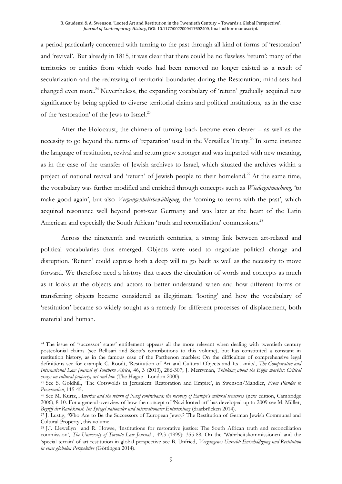a period particularly concerned with turning to the past through all kind of forms of 'restoration' and 'revival'. But already in 1815, it was clear that there could be no flawless 'return': many of the territories or entities from which works had been removed no longer existed as a result of secularization and the redrawing of territorial boundaries during the Restoration; mind-sets had changed even more.<sup>24</sup> Nevertheless, the expanding vocabulary of 'return' gradually acquired new significance by being applied to diverse territorial claims and political institutions, as in the case of the 'restoration' of the Jews to Israel.<sup>25</sup>

After the Holocaust, the chimera of turning back became even clearer – as well as the necessity to go beyond the terms of 'reparation' used in the Versailles Treaty.<sup>26</sup> In some instance the language of restitution, revival and return grew stronger and was imparted with new meaning, as in the case of the transfer of Jewish archives to Israel, which situated the archives within a project of national revival and 'return' of Jewish people to their homeland.<sup>27</sup> At the same time, the vocabulary was further modified and enriched through concepts such as *Wiedergutmachung*, 'to make good again', but also *Vergangenheitsbewältigung*, the 'coming to terms with the past', which acquired resonance well beyond post-war Germany and was later at the heart of the Latin American and especially the South African 'truth and reconciliation' commissions.<sup>28</sup>

Across the nineteenth and twentieth centuries, a strong link between art-related and political vocabularies thus emerged. Objects were used to negotiate political change and disruption. 'Return' could express both a deep will to go back as well as the necessity to move forward. We therefore need a history that traces the circulation of words and concepts as much as it looks at the objects and actors to better understand when and how different forms of transferring objects became considered as illegitimate 'looting' and how the vocabulary of 'restitution' became so widely sought as a remedy for different processes of displacement, both material and human.

<sup>&</sup>lt;sup>24</sup> The issue of 'successor' states' entitlement appears all the more relevant when dealing with twentieth century postcolonial claims (see Bellisari and Scott's contributions to this volume), but has constituted a constant in restitution history, as in the famous case of the Parthenon marbles: On the difficulties of comprehensive legal definitions see for example C. Roodt, 'Restitution of Art and Cultural Objects and Its Limits', *The Comparative and International Law Journal of Southern Africa*, 46, 3 (2013), 286-307; J. Merryman, *Thinking about the Elgin marbles: Critical essays on cultural property, art and law* (The Hague - London 2000).

<sup>25</sup> See S. Goldhill, 'The Cotswolds in Jerusalem: Restoration and Empire', in Swenson/Mandler, *From Plunder to Preservation*, 115-45.

<sup>26</sup> See M. Kurtz, *America and the return of Nazi contraband: the recovery of Europe's cultural treasures* (new edition, Cambridge 2006), 8-10. For a general overview of how the concept of 'Nazi looted art' has developed up to 2009 see M. Müller, *Begriff der Raubkunst. Im Spiegel nationaler und internationaler Entwicklung* (Saarbrücken 2014).

<sup>27</sup> J. Lustig, 'Who Are to Be the Successors of European Jewry? The Restitution of German Jewish Communal and Cultural Property', this volume.

<sup>28</sup> J.J. Llewellyn and R. Howse, 'Institutions for restorative justice: The South African truth and reconciliation commission', *The University of Toronto Law Journal* , 49.3 (1999): 355-88. On the 'Wahrheitskommissionen' and the 'special terrain' of art restitution in global perspective see B. Unfried, *Vergangenes Unrecht: Entschädigung und Restitution in einer globalen Perspektive* (Göttingen 2014).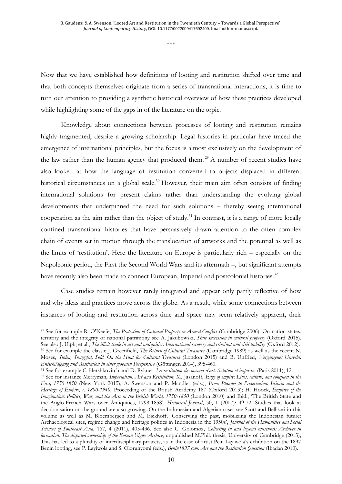\*\*\*

Now that we have established how definitions of looting and restitution shifted over time and that both concepts themselves originate from a series of transnational interactions, it is time to turn our attention to providing a synthetic historical overview of how these practices developed while highlighting some of the gaps in of the literature on the topic.

Knowledge about connections between processes of looting and restitution remains highly fragmented, despite a growing scholarship. Legal histories in particular have traced the emergence of international principles, but the focus is almost exclusively on the development of the law rather than the human agency that produced them.<sup>29</sup> A number of recent studies have also looked at how the language of restitution converted to objects displaced in different historical circumstances on a global scale.<sup>30</sup> However, their main aim often consists of finding international solutions for present claims rather than understanding the evolving global developments that underpinned the need for such solutions – thereby seeing international cooperation as the aim rather than the object of study.<sup>31</sup> In contrast, it is a range of more locally confined transnational histories that have persuasively drawn attention to the often complex chain of events set in motion through the translocation of artworks and the potential as well as the limits of 'restitution'. Here the literature on Europe is particularly rich – especially on the Napoleonic period, the First the Second World Wars and its aftermath –, but significant attempts have recently also been made to connect European, Imperial and postcolonial histories.<sup>32</sup>

Case studies remain however rarely integrated and appear only partly reflective of how and why ideas and practices move across the globe. As a result, while some connections between instances of looting and restitution across time and space may seem relatively apparent, their

 $\overline{a}$ 

<sup>31</sup> See for example C. Hershkovitch and D. Rykner, *La restitution des ouevres d'art. Solution et impasses* (Paris 2011), 12.

<sup>29</sup> See for example R. O'Keefe, *The Protection of Cultural Property in Armed Conflict* (Cambridge 2006). On nation-states, territory and the integrity of national patrimony see A. Jakubowski, *State succession in cultural property* (Oxford 2015). See also J. Ulph, et al., *The illicit trade in art and antiquities: International recovery and criminal and civil liability* (Oxford 2012). <sup>30</sup> See for example the classic J. Greenfield, *The Return of Cultural Treasures* (Cambridge 1989) as well as the recent N. Moses, *Stolen, Smuggled, Sold. On the Hunt for Cultural Treasures* (London 2015) and B. Unfried, *Vergangenes Unrecht: Entschädigung und Restitution in einer globalen Perspektive* (Göttingen 2014), 395-460.

<sup>32</sup> See for instance Merryman, *Imperialism, Art and Restitution*; M. Jasanoff, *Edge of empire: Lives, culture, and conquest in the East, 1750-1850* (New York 2015); A. Swenson and P. Mandler (eds.), *From Plunder to Preservation: Britain and the Heritage of Empire, c. 1800-1940*, Proceeding of the British Academy 187 (Oxford 2013); H. Hoock, *Empires of the*  Imagination: Politics, War, and the Arts in the British World, 1750-1850 (London 2010) and Ibid., 'The British State and the Anglo-French Wars over Antiquities, 1798-1858', *Historical Journal*, 50, 1 (2007): 49-72. Studies that look at decolonisation on the ground are also growing. On the Indonesian and Algerian cases see Scott and Bellisari in this volume as well as M. Bloembergen and M. Eickhoff, 'Conserving the past, mobilizing the Indonesian future: Archaeological sites, regime change and heritage politics in Indonesia in the 1950s', *Journal of the Humanities and Social Sciences of Southeast Asia*, 167, 4 (2011), 405-436. See also C. Golomoz, *Collecting in and beyond museums: Archives in formation: The disputed ownership of the Korean Uigwe Archive*, unpublished M.Phil. thesis, University of Cambridge (2013); This has led to a plurality of interdisciplinary projects, as in the case of artist Peju Layiwola's exhibition on the 1897 Benin looting, see P. Layiwola and S. Olorunyomi (eds.), *Benin1897.com. Art and the Restitution Question* (Ibadan 2010).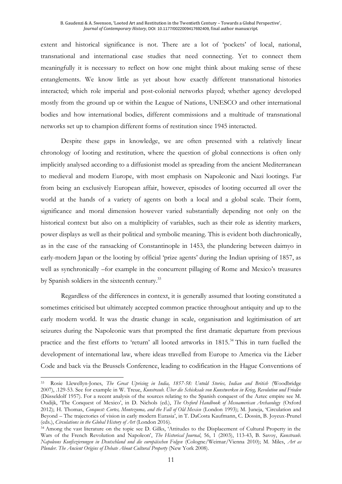extent and historical significance is not. There are a lot of 'pockets' of local, national, transnational and international case studies that need connecting. Yet to connect them meaningfully it is necessary to reflect on how one might think about making sense of these entanglements. We know little as yet about how exactly different transnational histories interacted; which role imperial and post-colonial networks played; whether agency developed mostly from the ground up or within the League of Nations, UNESCO and other international bodies and how international bodies, different commissions and a multitude of transnational networks set up to champion different forms of restitution since 1945 interacted.

Despite these gaps in knowledge, we are often presented with a relatively linear chronology of looting and restitution, where the question of global connections is often only implicitly analysed according to a diffusionist model as spreading from the ancient Mediterranean to medieval and modern Europe, with most emphasis on Napoleonic and Nazi lootings. Far from being an exclusively European affair, however, episodes of looting occurred all over the world at the hands of a variety of agents on both a local and a global scale. Their form, significance and moral dimension however varied substantially depending not only on the historical context but also on a multiplicity of variables, such as their role as identity markers, power displays as well as their political and symbolic meaning. This is evident both diachronically, as in the case of the ransacking of Constantinople in 1453, the plundering between daimyo in early-modern Japan or the looting by official 'prize agents' during the Indian uprising of 1857, as well as synchronically –for example in the concurrent pillaging of Rome and Mexico's treasures by Spanish soldiers in the sixteenth century.<sup>33</sup>

Regardless of the differences in context, it is generally assumed that looting constituted a sometimes criticised but ultimately accepted common practice throughout antiquity and up to the early modern world. It was the drastic change in scale, organisation and legitimisation of art seizures during the Napoleonic wars that prompted the first dramatic departure from previous practice and the first efforts to 'return' all looted artworks in 1815.<sup>34</sup> This in turn fuelled the development of international law, where ideas travelled from Europe to America via the Lieber Code and back via the Brussels Conference, leading to codification in the Hague Conventions of

<sup>33</sup> Rosie Llewellyn-Jones, *The Great Uprising in India, 1857-58: Untold Stories, Indian and British* (Woodbridge 2007), .129-53. See for example in W. Treue, *Kunstraub. Über die Schicksale von Kunstwerken in Krieg, Revolution und Frieden* (Düsseldolf 1957). For a recent analysis of the sources relating to the Spanish conquest of the Aztec empire see M. Oudijk, 'The Conquest of Mexico', in D. Nichols (ed.), *The Oxford Handbook of Mesoamerican Archaeology* (Oxford 2012); H. Thomas, *Conquest: Cortes, Montezuma, and the Fall of Old Mexico* (London 1993); M. Juneja, 'Circulation and Beyond – The trajectories of vision in early modern Eurasia', in T. DaCosta Kaufmann, C. Dossin, B. Joyeux-Prunel (eds.), *Circulations in the Global History of Art* (London 2016).

<sup>&</sup>lt;sup>34</sup> Among the vast literature on the topic see D. Gilks, 'Attitudes to the Displacement of Cultural Property in the Wars of the French Revolution and Napoleon', *The Historical Journal*, 56, 1 (2003), 113-43, B. Savoy, *Kunstraub. Napoleons Konfiszierungen in Deutschland und die europäischen Folgen* (Cologne/Weimar/Vienna 2010); M. Miles, *Art as Plunder. The Ancient Origins of Debate About Cultural Property* (New York 2008).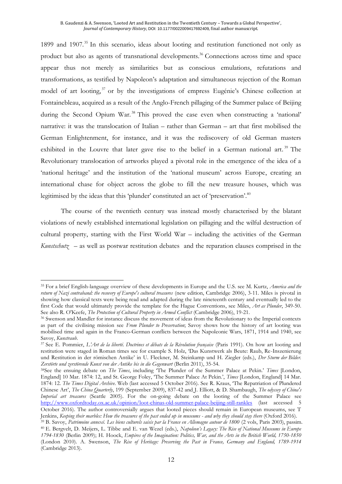1899 and 1907.<sup>35</sup> In this scenario, ideas about looting and restitution functioned not only as product but also as agents of transnational developments. <sup>36</sup> Connections across time and space appear thus not merely as similarities but as conscious emulations, refutations and transformations, as testified by Napoleon's adaptation and simultaneous rejection of the Roman model of art looting,  $37$  or by the investigations of empress Eugénie's Chinese collection at Fontainebleau, acquired as a result of the Anglo-French pillaging of the Summer palace of Beijing during the Second Opium War.<sup>38</sup> This proved the case even when constructing a 'national' narrative: it was the translocation of Italian – rather than German – art that first mobilised the German Enlightenment, for instance, and it was the rediscovery of old German masters exhibited in the Louvre that later gave rise to the belief in a German national art.<sup>39</sup> The Revolutionary translocation of artworks played a pivotal role in the emergence of the idea of a 'national heritage' and the institution of the 'national museum' across Europe, creating an international chase for object across the globe to fill the new treasure houses, which was legitimised by the ideas that this 'plunder' constituted an act of 'preservation'.<sup>40</sup>

The course of the twentieth century was instead mostly characterised by the blatant violations of newly established international legislation on pillaging and the wilful destruction of cultural property, starting with the First World War – including the activities of the German *Kunstschutz* – as well as postwar restitution debates and the reparation clauses comprised in the

<sup>35</sup> For a brief English-language overview of these developments in Europe and the U.S. see M. Kurtz, *America and the return of Nazi contraband: the recovery of Europe's cultural treasures* (new edition, Cambridge 2006), 3-11. Miles is pivotal in showing how classical texts were being read and adapted during the late nineteenth century and eventually led to the first Code that would ultimately provide the template for the Hague Conventions, see Miles, *Art as Plunder*, 349-50. See also R. O'Keefe, *The Protection of Cultural Property in Armed Conflict* (Cambridge 2006), 19-21.

<sup>36</sup> Swenson and Mandler for instance discuss the movement of ideas from the Revolutionary to the Imperial contexts as part of the civilising mission see *From Plunder to Preservation*; Savoy shows how the history of art looting was mobilised time and again in the Franco-German conflicts between the Napoleonic Wars, 1871, 1914 and 1940, see Savoy, *Kunstraub*.

<sup>37</sup> See E. Pommier, *L'Art de la liberté. Doctrines et débats de la Révolution française* (Paris 1991). On how art looting and restitution were staged in Roman times see for example S. Holz, 'Das Kunstwerk als Beute: Raub, Re-Inszenierung und Restitution in der römischen Antike' in U. Fleckner, M. Steinkamp und H. Ziegler (eds.), *Der Sturm der Bilder. Zerstörte und zerstörende Kunst von der Antike bis in die Gegenwart* (Berlin 2011), 35-54.

<sup>38</sup>See the ensuing debate on *The Times*, including 'The Plunder of the Summer Palace at Pekin.' *Times* [London, England] 10 Mar. 1874: 12, and St. George Foley, 'The Summer Palace At Pekin.', *Times* [London, England] 14 Mar. 1874: 12. *The Times Digital Archive*. Web (last accessed 5 October 2016). See R. Kraus, 'The Repatriation of Plundered Chinese Art', *The China Quarterly*, 199 (September 2009), 837-42 and J. Elliott, & D. Shambaugh, *The odyssey of China's Imperial art treasures* (Seattle 2005). For the on-going debate on the looting of the Summer Palace see <http://www.oxfordtoday.ox.ac.uk/opinion/loot-chinas-old-summer-palace-beijing-still-rankles> (last accessed 5 October 2016). The author controversially argues that looted pieces should remain in European museums, see T Jenkins, *Keeping their marbles: How the treasures of the past ended up in museums - and why they should stay there* (Oxford 2016).

<sup>39</sup> B. Savoy, *Patrimoine annexé. Les biens culturels saisis par la France en Allemagne autour de 1800* (2 vols, Paris 2003), passim. <sup>40</sup> E. Bergvelt, D. Meijers, L. Tibbe and E. van Wezel (eds.), *Napoleon's Legacy: The Rise of National Museums in Europe 1794-1830* (Berlin 2009); H. Hoock, *Empires of the Imagination: Politics, War, and the Arts in the British World, 1750-1850*  (London 2010). A. Swenson, *The Rise of Heritage: Preserving the Past in France, Germany and England, 1789-1914* (Cambridge 2013).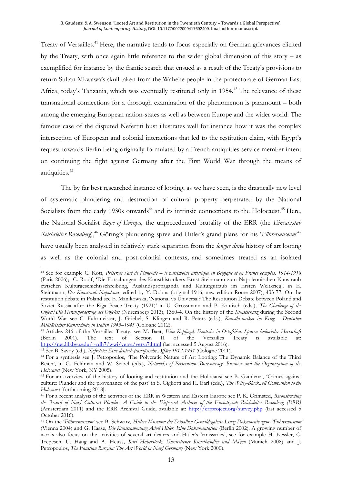Treaty of Versailles. <sup>41</sup> Here, the narrative tends to focus especially on German grievances elicited by the Treaty, with once again little reference to the wider global dimension of this story – as exemplified for instance by the frantic search that ensued as a result of the Treaty's provisions to return Sultan Mkwawa's skull taken from the Wahehe people in the protectorate of German East Africa, today's Tanzania, which was eventually restituted only in 1954.<sup>42</sup> The relevance of these transnational connections for a thorough examination of the phenomenon is paramount – both among the emerging European nation-states as well as between Europe and the wider world. The famous case of the disputed Nefertiti bust illustrates well for instance how it was the complex intersection of European and colonial interactions that led to the restitution claim, with Egypt's request towards Berlin being originally formulated by a French antiquities service member intent on continuing the fight against Germany after the First World War through the means of antiquities.<sup>43</sup>

The by far best researched instance of looting, as we have seen, is the drastically new level of systematic plundering and destruction of cultural property perpetrated by the National Socialists from the early 1930s onwards<sup>44</sup> and its intrinsic connections to the Holocaust.<sup>45</sup> Here, the National Socialist *Rape of Europa*, the unprecedented brutality of the ERR (the *Einsatzstab*  Reichsleiter Rosenberg),<sup>46</sup> Göring's plundering spree and Hitler's grand plans for his 'Führermuseum'<sup>47</sup> have usually been analysed in relatively stark separation from the *longue durée* history of art looting as well as the colonial and post-colonial contexts, and sometimes treated as an isolated

 $\overline{a}$ <sup>41</sup> See for example C. Kott, *Préserver l'art de l'énnemi? – le patrimoine artistique en Belgique et en France occupées, 1914-1918* (Paris 2006); C. Roolf, 'Die Forschungen des Kunsthistorikers Ernst Steinmann zum Napoleonischen Kunstraub zwischen Kulturgeschichtsschreibung, Auslandspropaganda und Kulturgutraub im Ersten Weltkrieg', in E. Steinmann, *Der Kunstraub Napoleons*, edited by Y. Dohna (original 1916, new edition Rome 2007), 433-77. On the restitution debate in Poland see E. Manikowska, 'National vs Universal? The Restitution Debate between Poland and Soviet Russia after the Riga Peace Treaty (1921)' in U. Grossmann and P. Krutisch (eds.), *The Challenge of the Object/Die Herausforderung des Objekts* (Nuremberg 2013), 1360-4. On the history of the *Kunstschutz* during the Second World War see C. Fuhrmeister, J. Griebel, S. Klingen and R. Peters (eds.), *Kunsthistoriker im Krieg – Deutscher Militärischer Kunstschutz in Italien 1943–1945* (Cologne 2012).

<sup>42</sup> Articles 246 of the Versailles Treaty, see M. Baer, *Eine Kopfjagd. Deutsche in Ostafrika. Spuren kolonialer Herrschaft* (Berlin 2001). The text of Section II of the Versailles Treaty is available at: <http://net.lib.byu.edu/~rdh7/wwi/versa/versa7.html> (last accessed 5 August 2016).

<sup>43</sup> See B. Savoy (ed.), *Nofretete: Eine deutsch-französische Affäre 1912-1931* (Cologne 2011).

<sup>44</sup> For a synthesis see J. Petropoulos, 'The Polycratic Nature of Art Looting: The Dynamic Balance of the Third Reich', in G. Feldman and W. Seibel (eds.), *Networks of Persecution: Bureaucracy, Business and the Organization of the Holocaust* (New York, NY 2005).

<sup>45</sup> For an overview of the history of looting and restitution and the Holocaust see B. Gaudenzi, 'Crimes against culture: Plunder and the provenance of the past' in S. Gigliotti and H. Earl (eds.), *The Wiley-Blackwell Companion to the Holocaust* [forthcoming 2018].

<sup>46</sup> For a recent analysis of the activities of the ERR in Western and Eastern Europe see P. K. Grimsted, *Reconstructing the Record of Nazi Cultural Plunder: A Guide to the Dispersed Archives of the Einsatzstab Reichsleiter Rosenberg (ERR)* (Amsterdam 2011) and the ERR Archival Guide, available at:<http://errproject.org/survey.php> (last accessed 5 October 2016).

<sup>47</sup> On the '*Führermuseum*' see B. Schwarz, *Hitlers Museum: die Fotoalben Gemäldegalerie Linz: Dokumente zum "Führermuseum"* (Vienna 2004) and G. Haase, *Die Kunstsammlung Adolf Hitler. Eine Dokumentation* (Berlin 2002). A growing number of works also focus on the activities of several art dealers and Hitler's 'emissaries', see for example H. Kessler, C. Trepesch, U. Haug and A. Heuss, *Karl Haberstock: Umstrittener Kunsthändler und Mäzen* (Munich 2008) and J. Petropoulos, *The Faustian Bargain: The Art World in Nazi Germany* (New York 2000).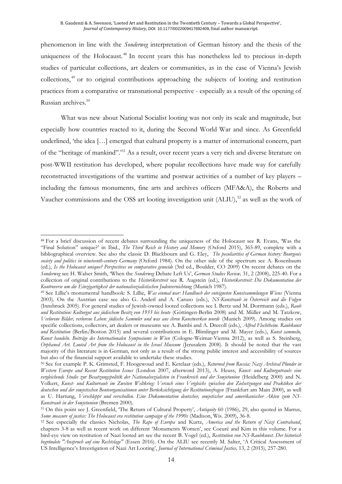phenomenon in line with the *Sonderweg* interpretation of German history and the thesis of the uniqueness of the Holocaust.<sup>48</sup> In recent years this has nonetheless led to precious in-depth studies of particular collections, art dealers or communities, as in the case of Vienna's Jewish collections, <sup>49</sup> or to original contributions approaching the subjects of looting and restitution practices from a comparative or transnational perspective - especially as a result of the opening of Russian archives.<sup>50</sup>

What was new about National Socialist looting was not only its scale and magnitude, but especially how countries reacted to it, during the Second World War and since. As Greenfield underlined, 'the idea [...] emerged that cultural property is a matter of international concern, part of the "heritage of mankind".'<sup>51</sup> As a result, over recent years a very rich and diverse literature on post-WWII restitution has developed, where popular recollections have made way for carefully reconstructed investigations of the wartime and postwar activities of a number of key players – including the famous monuments, fine arts and archives officers (MFA&A), the Roberts and Vaucher commissions and the OSS art looting investigation unit (ALIU),<sup>52</sup> as well as the work of

 $\overline{a}$ <sup>48</sup> For a brief discussion of recent debates surrounding the uniqueness of the Holocaust see R. Evans, 'Was the "Final Solution" unique?' in Ibid., *The Third Reich in History and Memory* (Oxford 2015), 365-89, complete with a bibliographical overview. See also the classic D. Blackbourn and G. Eley, *The peculiarities of German history: Bourgeois society and politics in nineteenth-century Germany* (Oxford 1984). On the other side of the spectrum see A. Rosenbaum (ed.), *Is the Holocaust unique? Perspectives on comparative genocide* (3rd ed., Boulder, CO 2009) On recent debates on the *Sonderweg* see H. Walser Smith, 'When the *Sonderweg* Debate Left Us', *German Studies Review,* 31, 2 (2008), 225-40. For a collection of original contributions to the *Historikerstreit* see R. Augstein (ed.), *Historikerstreit: Die Dokumentation der Kontroverse um die Einzigartigkeit der nationalsozialistischen Judenvernichtung* (Munich 1987).

<sup>49</sup> See Lillie's monumental handbook: S. Lillie, *Was einmal war: Handbuch der enteigneten Kunstsammlungen Wiens* (Vienna 2003). On the Austrian case see also G. Anderl and A. Caruso (eds.), *NS-Kunstraub in Österreich und die Folgen* (Innsbruck 2005). For general studies of Jewish-owned looted collections see I. Bertz und M. Dorrmann (eds.), *Raub und Restitution: Kulturgut aus jüdischem Besitz von 1933 bis heute* (Göttingen-Berlin 2008) and M. Müller and M. Tatzkow, *Verlorene Bilder, verlorene Leben: jüdische Sammler und was aus ihren Kunstwerken wurde* (Munich 2009). Among studies on specific collections, collectors, art dealers or museums see A. Bambi and A. Drecoll (eds.), *Alfred Flechtheim. Raubkunst und Restitution* (Berlin/Boston 2015) and several contributions in E. Blimlinger and M. Mayer (eds.), *Kunst sammeln, Kunst handeln. Beiträge des Internationalen Symposiums in Wien* (Cologne-Weimar-Vienna 2012), as well as S. Steinberg, *Orphaned Art. Looted Art from the Holocaust in the Israel Museum* (Jerusalem 2008). It should be noted that the vast majority of this literature is in German, not only as a result of the strong public interest and accessibility of sources but also of the financial support available to undertake these studies.

<sup>50</sup> See for example P. K. Grimsted, F. Hoogewoud and E. Ketelaar (eds.), *Returned from Russia: Nazi Archival Plunder in Western Europe and Recent Restitution Issues* (London 2007, afterword 2013), A. Heuss, *Kunst- und Kulturgutraub: eine vergleichende Studie zur Besatzungspolitik der Nationalsozialisten in Frankreich und der Sowjetunion* (Heidelberg 2000) and N. Volkert, *Kunst- und Kulturraub im Zweiten Weltkrieg: Versuch eines Vergleichs zwischen den Zielsetzungen und Praktiken der deutschen und der sowjetischen Beuteorganisationen unter Berücksichtigung der Restitutionsfragen* (Frankfurt am Main 2000), as well as U. Hartung, *Verschleppt und verschollen. Eine Dokumentation deutscher, sowjetischer und amerikanischer Akten zum NS-Kunstraub in der Sowjetunion* (Bremen 2000).

<sup>51</sup> On this point see J. Greenfield, 'The Return of Cultural Property', *Antiquity* 60 (1986), 29, also quoted in Marrus, Some measure of justice: The Holocaust era restitution campaign of the 1990s (Madison, Wis. 2009), 36-8.

<sup>52</sup> See especially the classics Nicholas, *The Rape of Europa* and Kurtz, *America and the Return of Nazi Contraband*, chapters 3-8 as well as recent work on different 'Monuments Women', see Coeuré and Kim in this volume. For a bird-eye view on restitution of Nazi looted art see the recent B. Vogel (ed.), *Restitution von NS-Raubkunst. Der historisch begründete "Anspruch auf eine Rechtslage"* (Essen 2016). On the ALIU see recently M. Salter, 'A Critical Assessment of US Intelligence's Investigation of Nazi Art Looting', *Journal of International Criminal Justice,* 13, 2 (2015), 257-280.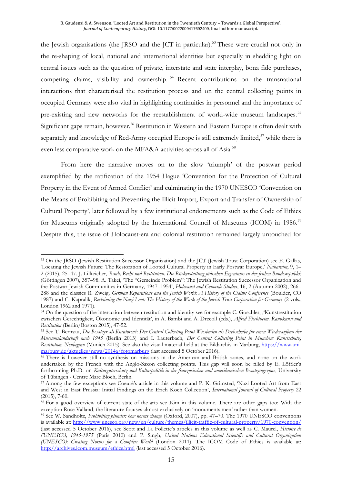the Jewish organisations (the JRSO and the JCT in particular).<sup>53</sup> These were crucial not only in the re-shaping of local, national and international identities but especially in shedding light on central issues such as the question of private, interstate and state interplay, bona fide purchases, competing claims, visibility and ownership.<sup>54</sup> Recent contributions on the transnational interactions that characterised the restitution process and on the central collecting points in occupied Germany were also vital in highlighting continuities in personnel and the importance of pre-existing and new networks for the reestablishment of world-wide museum landscapes.<sup>55</sup> Significant gaps remain, however.<sup>56</sup> Restitution in Western and Eastern Europe is often dealt with separately and knowledge of Red-Army occupied Europe is still extremely limited, $57$  while there is even less comparative work on the MFA&A activities across all of Asia.<sup>58</sup>

From here the narrative moves on to the slow 'triumph' of the postwar period exemplified by the ratification of the 1954 Hague 'Convention for the Protection of Cultural Property in the Event of Armed Conflict' and culminating in the 1970 UNESCO 'Convention on the Means of Prohibiting and Preventing the Illicit Import, Export and Transfer of Ownership of Cultural Property', later followed by a few institutional endorsements such as the Code of Ethics for Museums originally adopted by the International Council of Museums (ICOM) in 1986.<sup>59</sup> Despite this, the issue of Holocaust-era and colonial restitution remained largely untouched for

 $\overline{a}$ <sup>53</sup> On the JRSO (Jewish Restitution Successor Organization) and the JCT (Jewish Trust Corporation) see E. Gallas, 'Locating the Jewish Future: The Restoration of Looted Cultural Property in Early Postwar Europe,' *Naharaim*, 9, 1– 2 (2015), 25–47. J. Lillteicher, *Raub, Recht und Restitution. Die Rückerstattung jüdischen Eigentums in der frühen Bundesrepublik* (Göttingen 2007), 357–98. A. Takei, 'The ''Gemeinde Problem'': The Jewish Restitution Successor Organization and the Postwar Jewish Communities in Germany, 1947–1954', *Holocaust and Genocide Studies*, 16, 2 (Autumn 2002), 266– 288 and the classics R. Zweig, *German Reparations and the Jewish World: A History of the Claims Conference* (Boulder, CO 1987) and C. Kapralik, *Reclaiming the Nazi Loot: The History of the Work of the Jewish Trust Corporation for Germany* (2 vols., London 1962 and 1971).

<sup>&</sup>lt;sup>54</sup> On the question of the interaction between restitution and identity see for example C. Goschler, 'Kunstrestitution zwischen Gerechtigkeit, Ökonomie und Identität', in A. Bambi and A. Drecoll (eds.), *Alfred Flechtheim. Raubkunst und Restitution* (Berlin/Boston 2015), 47-52.

<sup>55</sup> See T. Bernsau, *Die Besatzer als Kuratoren?: Der Central Collecting Point Wiesbaden als Drehscheibe für einen Wiederaufbau der Museumslandschaft nach 1945* (Berlin 2013) and I. Lauterbach, *Der Central Collecting Point in München: Kunstschutz, Restitution, Neubeginn* (Munich 2015). See also the visual material held at the Bildarchiv in Marburg, [https://www.uni](https://www.uni-marburg.de/aktuelles/news/2014a/fotomarburg)[marburg.de/aktuelles/news/2014a/fotomarburg](https://www.uni-marburg.de/aktuelles/news/2014a/fotomarburg) (last accessed 5 October 2016).

<sup>56</sup> There is however still no synthesis on missions in the American and British zones, and none on the work undertaken by the French with the Anglo-Saxon collecting points. This gap will soon be filled by E. Löffler's forthcoming Ph.D. on *Kulturgüterschutz und Kulturpolitik in der französischen und amerikanischen Besatzungszone*, University of Tübingen - Centre Marc Bloch, Berlin.

<sup>57</sup> Among the few exceptions see Coeuré's article in this volume and P. K. Grimsted, 'Nazi Looted Art from East and West in East Prussia: Initial Findings on the Erich Koch Collection', *International Journal of Cultural Property* 22  $(2015)$ , 7-60.

<sup>58</sup> For a good overview of current state-of-the-arts see Kim in this volume. There are other gaps too: With the exception Rose Valland, the literature focuses almost exclusively on 'monuments men' rather than women.

<sup>59</sup> See W. Sandholtz, *Prohibiting plunder: how norms change* (Oxford, 2007), pp. 47–70. The 1970 UNESCO conventions is available at[: http://www.unesco.org/new/en/culture/themes/illicit-traffic-of-cultural-property/1970-convention/](http://www.unesco.org/new/en/culture/themes/illicit-traffic-of-cultural-property/1970-convention/) (last accessed 5 October 2016), see Scott and La Follette's articles in this volume as well as C. Maurel, *Histoire de l'UNESCO, 1945-1975* (Paris 2010) and P. Singh, *United Nations Educational Scientific and Cultural Organization (UNESCO): Creating Norms for a Complex World* (London 2011). The ICOM Code of Ethics is available at: <http://archives.icom.museum/ethics.html> (last accessed 5 October 2016).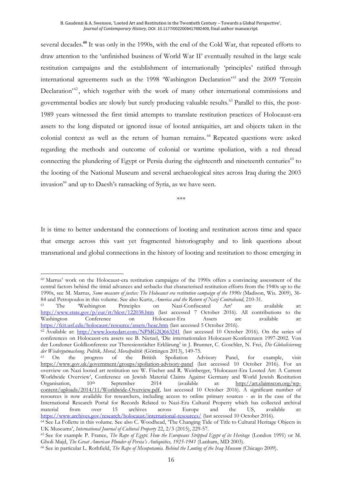several decades.**<sup>60</sup>** It was only in the 1990s, with the end of the Cold War, that repeated efforts to draw attention to the 'unfinished business of World War II' eventually resulted in the large scale restitution campaigns and the establishment of internationally 'principles' ratified through international agreements such as the 1998 'Washington Declaration'<sup>61</sup> and the 2009 'Terezin Declaration<sup> $62$ </sup>, which together with the work of many other international commissions and governmental bodies are slowly but surely producing valuable results.<sup>63</sup> Parallel to this, the post-1989 years witnessed the first timid attempts to translate restitution practices of Holocaust-era assets to the long disputed or ignored issue of looted antiquities, art and objects taken in the colonial context as well as the return of human remains.<sup>64</sup> Repeated questions were asked regarding the methods and outcome of colonial or wartime spoliation, with a red thread connecting the plundering of Egypt or Persia during the eighteenth and nineteenth centuries<sup> $65$ </sup> to the looting of the National Museum and several archaeological sites across Iraq during the 2003 invasion<sup>66</sup> and up to Daesh's ransacking of Syria, as we have seen.

\*\*\*

It is time to better understand the connections of looting and restitution across time and space that emerge across this vast yet fragmented historiography and to link questions about transnational and global connections in the history of looting and restitution to those emerging in

 $\overline{a}$ <sup>60</sup> Marrus' work on the Holocaust-era restitution campaigns of the 1990s offers a convincing assessment of the central factors behind the timid advances and setbacks that characterised restitution efforts from the 1940s up to the 1990s, see M. Marrus, *Some measure of justice: The Holocaust era restitution campaign of the 1990s* (Madison, Wis. 2009), 36- 84 and Petropoulos in this volume. See also Kurtz, *America and the Return of Nazi Contraband*, 210-31.

<sup>61</sup> The 'Washington Principles on Nazi-Confiscated Art' are available at: <http://www.state.gov/p/eur/rt/hlcst/122038.htm> (last accessed 7 October 2016). All contributions to the Washington Conference on Holocaust-Era Assets are available at: <https://fcit.usf.edu/holocaust/resource/assets/heac.htm> (last accessed 5 October 2016).

<sup>&</sup>lt;sup>62</sup> Available at: <http://www.lootedart.com/NPMG2Q663241> (last accessed 10 October 2016). On the series of conferences on Holocaust-era assets see B. Nietzel, 'Die internationalen Holocaust-Konferenzen 1997-2002. Von der Londoner Goldkonferenz zur Theresienstädter Erklärung' in J. Brunner, C. Goschler, N. Frei, *Die Globalisierung der Wiedergutmachung. Politik, Moral, Moralpolitik* (Göttingen 2013), 149-75.

<sup>63</sup> On the progress of the British Spoliation Advisory Panel, for example, visit <https://www.gov.uk/government/groups/spoliation-advisory-panel> (last accessed 10 October 2016). For an overview on Nazi looted art restitution see W. Fischer and R. Weinberger, 'Holocaust-Era Looted Art: A Current Worldwide Overview', Conference on Jewish Material Claims Against Germany and World Jewish Restitution Organisation,  $10^{th}$  September 2014 (available at: [http://art.claimscon.org/wp](http://art.claimscon.org/wp-content/uploads/2014/11/Worldwide-Overview.pdf)[content/uploads/2014/11/Worldwide-Overview.pdf,](http://art.claimscon.org/wp-content/uploads/2014/11/Worldwide-Overview.pdf) last accessed 10 October 2016). A significant number of resources is now available for researchers, including access to online primary sources - as in the case of the International Research Portal for Records Related to Nazi-Era Cultural Property which has collected archival material from over 15 archives across Europe and the US, available at: <https://www.archives.gov/research/holocaust/international-resources/> (last accessed 10 October 2016).

<sup>64</sup> See La Follette in this volume. See also C. Woodhead, 'The Changing Tide of Title to Cultural Heritage Objects in UK Museums', *International Journal of Cultural Property* 22, 2/3 (2015), 229-57.

<sup>65</sup> See for example P. France, *The Rape of Egypt. How the Europeans Stripped Egypt of its Heritage* (London 1991) or M. Gholi Majd, *The Great American Plunder of Persia's Antiquities, 1925-1941* (Lanham, MD 2003).

<sup>66</sup> See in particular L. Rothfield, *The Rape of Mesopotamia. Behind the Looting of the Iraq Museum* (Chicago 2009).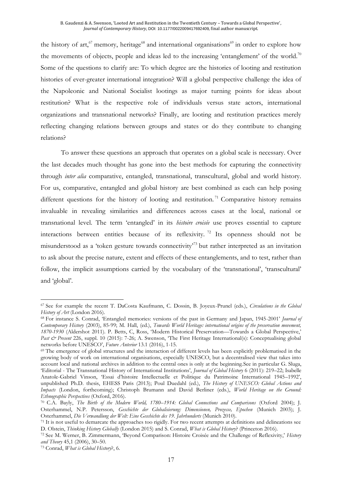the history of art,<sup>67</sup> memory, heritage<sup>68</sup> and international organisations<sup>69</sup> in order to explore how the movements of objects, people and ideas led to the increasing 'entanglement' of the world.<sup>70</sup> Some of the questions to clarify are: To which degree are the histories of looting and restitution histories of ever-greater international integration? Will a global perspective challenge the idea of the Napoleonic and National Socialist lootings as major turning points for ideas about restitution? What is the respective role of individuals versus state actors, international organizations and transnational networks? Finally, are looting and restitution practices merely reflecting changing relations between groups and states or do they contribute to changing relations?

To answer these questions an approach that operates on a global scale is necessary. Over the last decades much thought has gone into the best methods for capturing the connectivity through *inter alia* comparative, entangled, transnational, transcultural, global and world history. For us, comparative, entangled and global history are best combined as each can help posing different questions for the history of looting and restitution.<sup>71</sup> Comparative history remains invaluable in revealing similarities and differences across cases at the local, national or transnational level. The term 'entangled' in its *histoire croisée* use proves essential to capture interactions between entities because of its reflexivity. <sup>72</sup> Its openness should not be misunderstood as a 'token gesture towards connectivity'<sup>73</sup> but rather interpreted as an invitation to ask about the precise nature, extent and effects of these entanglements, and to test, rather than follow, the implicit assumptions carried by the vocabulary of the 'transnational', 'transcultural' and 'global'.

 $\overline{a}$ <sup>67</sup> See for example the recent T. DaCosta Kaufmann, C. Dossin, B. Joyeux-Prunel (eds.), *Circulations in the Global History of Art* (London 2016).

<sup>68</sup> For instance S. Conrad, 'Entangled memories: versions of the past in Germany and Japan, 1945-2001' *Journal of Contemporary History* (2003), 85-99; M. Hall, (ed.), *Towards World Heritage: international origins of the preservation movement, 1870-1930* (Aldershot 2011). P. Betts, C, Ross, 'Modern Historical Preservation—Towards a Global Perspective,' *Past & Present* 226, suppl. 10 (2015): 7-26; A. Swenson, 'The First Heritage International(s): Conceptualising global networks before UNESCO', *Future Anterior* 13.1 (2016), 1-15.

<sup>69</sup> The emergence of global structures and the interaction of different levels has been explicitly problematised in the growing body of work on international organisations, especially UNESCO, but a decentralised view that takes into account local and national archives in addition to the central ones is only at the beginning.See in particular G. Sluga, 'Editorial - The Transnational History of International Institutions', *Journal of Global History* 6 (2011): 219–22; Isabelle Anatole-Gabriel Vinson, 'Essai d'histoire Intellectuelle et Politique du Patrimoine International 1945–1992', unpublished Ph.D. thesis, EHESS Paris (2013); Poul Duedahl (ed.), *The History of UNESCO: Global Actions and Impacts* (London, forthcoming); Christoph Brumann and David Berliner (eds.), *World Heritage on the Ground: Ethnographic Perspectives* (Oxford, 2016).

<sup>70</sup> C.A. Bayly, *The Birth of the Modern World, 1780–1914: Global Connections and Comparisons* (Oxford 2004); J. Osterhammel, N.P. Petersson, *Geschichte der Globalisierung: Dimensionen, Prozesse, Epochen* (Munich 2003); J. Osterhammel, *Die Verwandlung der Welt: Eine Geschichte des 19. Jahrhunderts* (Munich 2010).

<sup>71</sup> It is not useful to demarcate the approaches too rigidly. For two recent attempts at definitions and delineations see D. Olstein, *Thinking History Globally* (London 2015) and S. Conrad, *What is Global History*? (Princeton 2016).

<sup>72</sup> See M. Werner, B. Zimmermann, 'Beyond Comparison: Histoire Croisée and the Challenge of Reflexivity,' *History and Theory* 45,1 (2006), 30–50.

<sup>73</sup> Conrad, *What is Global History*?, 6.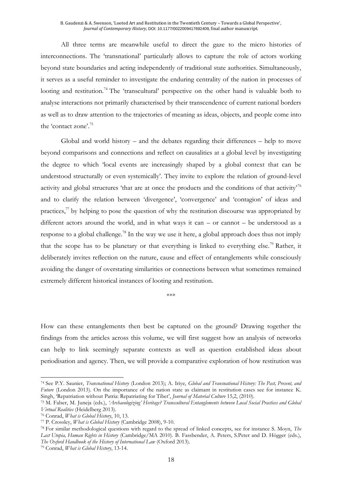All three terms are meanwhile useful to direct the gaze to the micro histories of interconnections. The 'transnational' particularly allows to capture the role of actors working beyond state boundaries and acting independently of traditional state authorities. Simultaneously, it serves as a useful reminder to investigate the enduring centrality of the nation in processes of looting and restitution.<sup>74</sup> The 'transcultural' perspective on the other hand is valuable both to analyse interactions not primarily characterised by their transcendence of current national borders as well as to draw attention to the trajectories of meaning as ideas, objects, and people come into the 'contact zone'.<sup>75</sup>

Global and world history – and the debates regarding their differences – help to move beyond comparisons and connections and reflect on causalities at a global level by investigating the degree to which 'local events are increasingly shaped by a global context that can be understood structurally or even systemically'. They invite to explore the relation of ground-level activity and global structures 'that are at once the products and the conditions of that activity<sup>76</sup> and to clarify the relation between 'divergence', 'convergence' and 'contagion' of ideas and practices, $\frac{7}{1}$  by helping to pose the question of why the restitution discourse was appropriated by different actors around the world, and in what ways it can – or cannot – be understood as a response to a global challenge.<sup>78</sup> In the way we use it here, a global approach does thus not imply that the scope has to be planetary or that everything is linked to everything else.<sup>79</sup> Rather, it deliberately invites reflection on the nature, cause and effect of entanglements while consciously avoiding the danger of overstating similarities or connections between what sometimes remained extremely different historical instances of looting and restitution.

\*\*\*

How can these entanglements then best be captured on the ground? Drawing together the findings from the articles across this volume, we will first suggest how an analysis of networks can help to link seemingly separate contexts as well as question established ideas about periodisation and agency. Then, we will provide a comparative exploration of how restitution was

<sup>74</sup> See P.Y. Saunier, *Transnational History* (London 2013); A. Iriye, *Global and Transnational History: The Past, Present, and Future* (London 2013). On the importance of the nation state as claimant in restitution cases see for instance K. Singh, 'Repatriation without Patria: Repatriating for Tibet', *Journal of Material Culture* 15,2, (2010).

<sup>75</sup> M. Falser, M. Juneja (eds.), *'Archaeologizing' Heritage? Transcultural Entanglements between Local Social Practices and Global Virtual Realities* (Heidelberg 2013).

<sup>76</sup> Conrad, *What is Global History*, 10, 13.

<sup>77</sup> P. Crossley, *What is Global History* (Cambridge 2008), 9-10.

<sup>78</sup> For similar methodological questions with regard to the spread of linked concepts, see for instance S. Moyn, *The Last Utopia, Human Rights in History* (Cambridge/MA 2010). B. Fassbender, A. Peters, S.Peter and D. Högger (eds.), *The Oxford Handbook of the History of International Law* (Oxford 2013).

<sup>79</sup> Conrad, *What is Global History*, 13-14.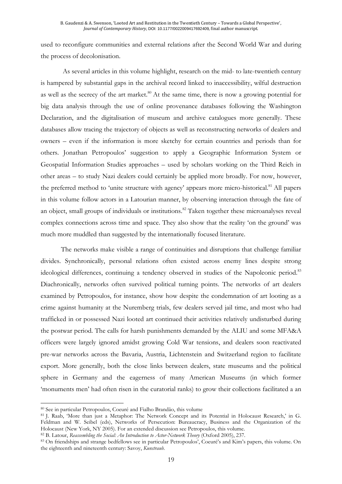used to reconfigure communities and external relations after the Second World War and during the process of decolonisation.

As several articles in this volume highlight, research on the mid- to late-twentieth century is hampered by substantial gaps in the archival record linked to inaccessibility, wilful destruction as well as the secrecy of the art market. $80$  At the same time, there is now a growing potential for big data analysis through the use of online provenance databases following the Washington Declaration, and the digitalisation of museum and archive catalogues more generally. These databases allow tracing the trajectory of objects as well as reconstructing networks of dealers and owners – even if the information is more sketchy for certain countries and periods than for others. Jonathan Petropoulos' suggestion to apply a Geographic Information System or Geospatial Information Studies approaches – used by scholars working on the Third Reich in other areas – to study Nazi dealers could certainly be applied more broadly. For now, however, the preferred method to 'unite structure with agency' appears more micro-historical.<sup>81</sup> All papers in this volume follow actors in a Latourian manner, by observing interaction through the fate of an object, small groups of individuals or institutions.<sup>82</sup> Taken together these microanalyses reveal complex connections across time and space. They also show that the reality 'on the ground' was much more muddled than suggested by the internationally focused literature.

The networks make visible a range of continuities and disruptions that challenge familiar divides. Synchronically, personal relations often existed across enemy lines despite strong ideological differences, continuing a tendency observed in studies of the Napoleonic period.<sup>83</sup> Diachronically, networks often survived political turning points. The networks of art dealers examined by Petropoulos, for instance, show how despite the condemnation of art looting as a crime against humanity at the Nuremberg trials, few dealers served jail time, and most who had trafficked in or possessed Nazi looted art continued their activities relatively undisturbed during the postwar period. The calls for harsh punishments demanded by the ALIU and some MFA&A officers were largely ignored amidst growing Cold War tensions, and dealers soon reactivated pre-war networks across the Bavaria, Austria, Lichtenstein and Switzerland region to facilitate export. More generally, both the close links between dealers, state museums and the political sphere in Germany and the eagerness of many American Museums (in which former 'monuments men' had often risen in the curatorial ranks) to grow their collections facilitated a an

<sup>80</sup> See in particular Petropoulos, Coeuré and Fialho Brandão, this volume

<sup>81</sup> J. Raab, 'More than just a Metaphor: The Network Concept and its Potential in Holocaust Research,' in G. Feldman and W. Seibel (eds), Networks of Persecution: Bureaucracy, Business and the Organization of the Holocaust (New York, NY 2005). For an extended discussion see Petropoulos, this volume.

<sup>82</sup> B. Latour, *Reassembling the Social: An Introduction to Actor-Network Theory* (Oxford 2005), 237.

<sup>83</sup> On friendships and strange bedfellows see in particular Petropoulos', Coeuré's and Kim's papers, this volume. On the eighteenth and nineteenth century: Savoy, *Kunstraub.*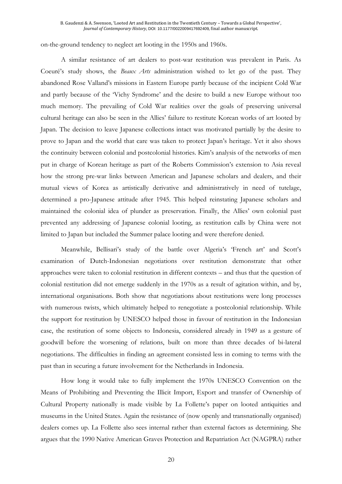on-the-ground tendency to neglect art looting in the 1950s and 1960s.

A similar resistance of art dealers to post-war restitution was prevalent in Paris. As Coeuré's study shows, the *Beaux Arts* administration wished to let go of the past. They abandoned Rose Valland's missions in Eastern Europe partly because of the incipient Cold War and partly because of the 'Vichy Syndrome' and the desire to build a new Europe without too much memory. The prevailing of Cold War realities over the goals of preserving universal cultural heritage can also be seen in the Allies' failure to restitute Korean works of art looted by Japan. The decision to leave Japanese collections intact was motivated partially by the desire to prove to Japan and the world that care was taken to protect Japan's heritage. Yet it also shows the continuity between colonial and postcolonial histories. Kim's analysis of the networks of men put in charge of Korean heritage as part of the Roberts Commission's extension to Asia reveal how the strong pre-war links between American and Japanese scholars and dealers, and their mutual views of Korea as artistically derivative and administratively in need of tutelage, determined a pro-Japanese attitude after 1945. This helped reinstating Japanese scholars and maintained the colonial idea of plunder as preservation. Finally, the Allies' own colonial past prevented any addressing of Japanese colonial looting, as restitution calls by China were not limited to Japan but included the Summer palace looting and were therefore denied.

Meanwhile, Bellisari's study of the battle over Algeria's 'French art' and Scott's examination of Dutch-Indonesian negotiations over restitution demonstrate that other approaches were taken to colonial restitution in different contexts – and thus that the question of colonial restitution did not emerge suddenly in the 1970s as a result of agitation within, and by, international organisations. Both show that negotiations about restitutions were long processes with numerous twists, which ultimately helped to renegotiate a postcolonial relationship. While the support for restitution by UNESCO helped those in favour of restitution in the Indonesian case, the restitution of some objects to Indonesia, considered already in 1949 as a gesture of goodwill before the worsening of relations, built on more than three decades of bi-lateral negotiations. The difficulties in finding an agreement consisted less in coming to terms with the past than in securing a future involvement for the Netherlands in Indonesia.

How long it would take to fully implement the 1970s UNESCO Convention on the Means of Prohibiting and Preventing the Illicit Import, Export and transfer of Ownership of Cultural Property nationally is made visible by La Follette's paper on looted antiquities and museums in the United States. Again the resistance of (now openly and transnationally organised) dealers comes up. La Follette also sees internal rather than external factors as determining. She argues that the 1990 Native American Graves Protection and Repatriation Act (NAGPRA) rather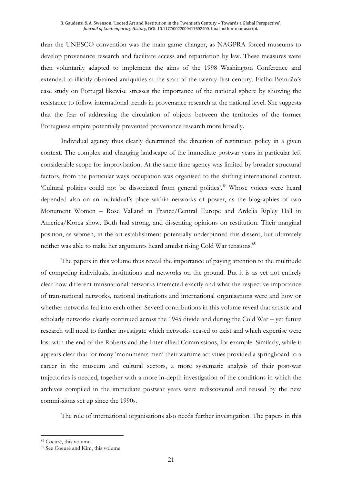than the UNESCO convention was the main game changer, as NAGPRA forced museums to develop provenance research and facilitate access and repatriation by law. These measures were then voluntarily adapted to implement the aims of the 1998 Washington Conference and extended to illicitly obtained antiquities at the start of the twenty-first century. Fialho Brandão's case study on Portugal likewise stresses the importance of the national sphere by showing the resistance to follow international trends in provenance research at the national level. She suggests that the fear of addressing the circulation of objects between the territories of the former Portuguese empire potentially prevented provenance research more broadly.

Individual agency thus clearly determined the direction of restitution policy in a given context. The complex and changing landscape of the immediate postwar years in particular left considerable scope for improvisation. At the same time agency was limited by broader structural factors, from the particular ways occupation was organised to the shifting international context. 'Cultural politics could not be dissociated from general politics'. <sup>84</sup> Whose voices were heard depended also on an individual's place within networks of power, as the biographies of two Monument Women – Rose Valland in France/Central Europe and Ardelia Ripley Hall in America/Korea show. Both had strong, and dissenting opinions on restitution. Their marginal position, as women, in the art establishment potentially underpinned this dissent, but ultimately neither was able to make her arguments heard amidst rising Cold War tensions.<sup>85</sup>

The papers in this volume thus reveal the importance of paying attention to the multitude of competing individuals, institutions and networks on the ground. But it is as yet not entirely clear how different transnational networks interacted exactly and what the respective importance of transnational networks, national institutions and international organisations were and how or whether networks fed into each other. Several contributions in this volume reveal that artistic and scholarly networks clearly continued across the 1945 divide and during the Cold War – yet future research will need to further investigate which networks ceased to exist and which expertise were lost with the end of the Roberts and the Inter-allied Commissions, for example. Similarly, while it appears clear that for many 'monuments men' their wartime activities provided a springboard to a career in the museum and cultural sectors, a more systematic analysis of their post-war trajectories is needed, together with a more in-depth investigation of the conditions in which the archives compiled in the immediate postwar years were rediscovered and reused by the new commissions set up since the 1990s.

The role of international organisations also needs further investigation. The papers in this

<sup>84</sup> Coeuré, this volume.

<sup>85</sup> See Coeuré and Kim, this volume.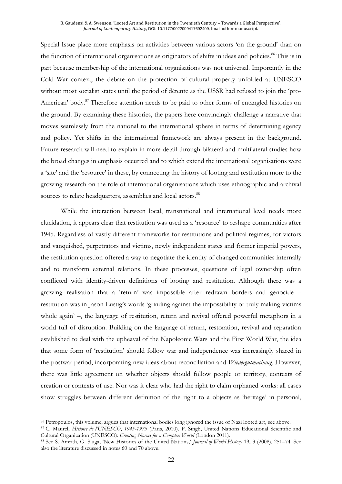Special Issue place more emphasis on activities between various actors 'on the ground' than on the function of international organisations as originators of shifts in ideas and policies.<sup>86</sup> This is in part because membership of the international organisations was not universal. Importantly in the Cold War context, the debate on the protection of cultural property unfolded at UNESCO without most socialist states until the period of détente as the USSR had refused to join the 'pro-American' body.<sup>87</sup> Therefore attention needs to be paid to other forms of entangled histories on the ground. By examining these histories, the papers here convincingly challenge a narrative that moves seamlessly from the national to the international sphere in terms of determining agency and policy. Yet shifts in the international framework are always present in the background. Future research will need to explain in more detail through bilateral and multilateral studies how the broad changes in emphasis occurred and to which extend the international organisations were a 'site' and the 'resource' in these, by connecting the history of looting and restitution more to the growing research on the role of international organisations which uses ethnographic and archival sources to relate headquarters, assemblies and local actors.<sup>88</sup>

While the interaction between local, transnational and international level needs more elucidation, it appears clear that restitution was used as a 'resource' to reshape communities after 1945. Regardless of vastly different frameworks for restitutions and political regimes, for victors and vanquished, perpetrators and victims, newly independent states and former imperial powers, the restitution question offered a way to negotiate the identity of changed communities internally and to transform external relations. In these processes, questions of legal ownership often conflicted with identity-driven definitions of looting and restitution. Although there was a growing realisation that a 'return' was impossible after redrawn borders and genocide – restitution was in Jason Lustig's words 'grinding against the impossibility of truly making victims whole again' –, the language of restitution, return and revival offered powerful metaphors in a world full of disruption. Building on the language of return, restoration, revival and reparation established to deal with the upheaval of the Napoleonic Wars and the First World War, the idea that some form of 'restitution' should follow war and independence was increasingly shared in the postwar period, incorporating new ideas about reconciliation and *Wiedergutmachung*. However, there was little agreement on whether objects should follow people or territory, contexts of creation or contexts of use. Nor was it clear who had the right to claim orphaned works: all cases show struggles between different definition of the right to a objects as 'heritage' in personal,

<sup>86</sup> Petropoulos, this volume, argues that international bodies long ignored the issue of Nazi looted art, see above.

<sup>87</sup> C. Maurel, *Histoire de l'UNESCO*, *1945-1975* (Paris, 2010). P. Singh, United Nations Educational Scientific and Cultural Organization (UNESCO): *Creating Norms for a Complex World* (London 2011).

<sup>88</sup> See S. Amrith, G. Sluga, 'New Histories of the United Nations,' *Journal of World History* 19, 3 (2008), 251–74. See also the literature discussed in notes 60 and 70 above.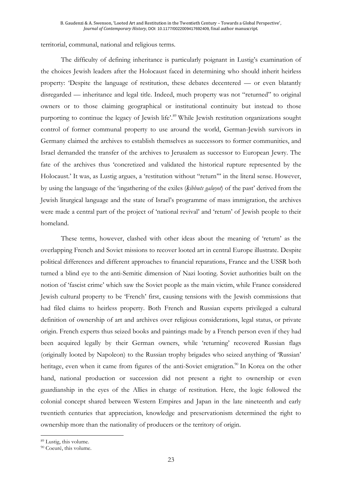territorial, communal, national and religious terms.

The difficulty of defining inheritance is particularly poignant in Lustig's examination of the choices Jewish leaders after the Holocaust faced in determining who should inherit heirless property: 'Despite the language of restitution, these debates decentered — or even blatantly disregarded — inheritance and legal title. Indeed, much property was not "returned" to original owners or to those claiming geographical or institutional continuity but instead to those purporting to continue the legacy of Jewish life'.<sup>89</sup> While Jewish restitution organizations sought control of former communal property to use around the world, German-Jewish survivors in Germany claimed the archives to establish themselves as successors to former communities, and Israel demanded the transfer of the archives to Jerusalem as successor to European Jewry. The fate of the archives thus 'concretized and validated the historical rupture represented by the Holocaust.' It was, as Lustig argues, a 'restitution without "return''' in the literal sense. However, by using the language of the 'ingathering of the exiles (*ḳibbuts galuyot*) of the past' derived from the Jewish liturgical language and the state of Israel's programme of mass immigration, the archives were made a central part of the project of 'national revival' and 'return' of Jewish people to their homeland.

These terms, however, clashed with other ideas about the meaning of 'return' as the overlapping French and Soviet missions to recover looted art in central Europe illustrate. Despite political differences and different approaches to financial reparations, France and the USSR both turned a blind eye to the anti-Semitic dimension of Nazi looting. Soviet authorities built on the notion of 'fascist crime' which saw the Soviet people as the main victim, while France considered Jewish cultural property to be 'French' first, causing tensions with the Jewish commissions that had filed claims to heirless property. Both French and Russian experts privileged a cultural definition of ownership of art and archives over religious considerations, legal status, or private origin. French experts thus seized books and paintings made by a French person even if they had been acquired legally by their German owners, while 'returning' recovered Russian flags (originally looted by Napoleon) to the Russian trophy brigades who seized anything of 'Russian' heritage, even when it came from figures of the anti-Soviet emigration.<sup>90</sup> In Korea on the other hand, national production or succession did not present a right to ownership or even guardianship in the eyes of the Allies in charge of restitution. Here, the logic followed the colonial concept shared between Western Empires and Japan in the late nineteenth and early twentieth centuries that appreciation, knowledge and preservationism determined the right to ownership more than the nationality of producers or the territory of origin.

<sup>89</sup> Lustig, this volume.

<sup>90</sup> Coeuré, this volume.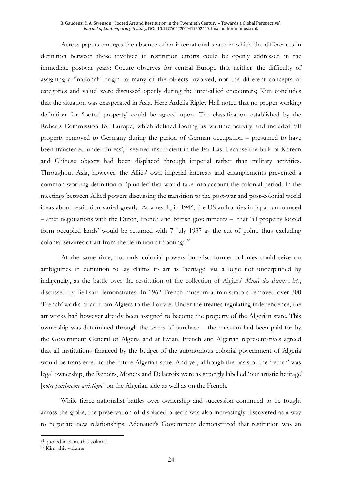Across papers emerges the absence of an international space in which the differences in definition between those involved in restitution efforts could be openly addressed in the immediate postwar years: Coeuré observes for central Europe that neither 'the difficulty of assigning a "national" origin to many of the objects involved, nor the different concepts of categories and value' were discussed openly during the inter-allied encounters; Kim concludes that the situation was exasperated in Asia. Here Ardelia Ripley Hall noted that no proper working definition for 'looted property' could be agreed upon. The classification established by the Roberts Commission for Europe, which defined looting as wartime activity and included 'all property removed to Germany during the period of German occupation – presumed to have been transferred under duress',<sup>91</sup> seemed insufficient in the Far East because the bulk of Korean and Chinese objects had been displaced through imperial rather than military activities. Throughout Asia, however, the Allies' own imperial interests and entanglements prevented a common working definition of 'plunder' that would take into account the colonial period. In the meetings between Allied powers discussing the transition to the post-war and post-colonial world ideas about restitution varied greatly. As a result, in 1946, the US authorities in Japan announced – after negotiations with the Dutch, French and British governments – that 'all property looted from occupied lands' would be returned with 7 July 1937 as the cut of point, thus excluding colonial seizures of art from the definition of 'looting'.<sup>92</sup>

At the same time, not only colonial powers but also former colonies could seize on ambiguities in definition to lay claims to art as 'heritage' via a logic not underpinned by indigeneity, as the battle over the restitution of the collection of Algiers' *Musée des Beaux Arts*, discussed by Bellisari demonstrates. In 1962 French museum administrators removed over 300 'French' works of art from Algiers to the Louvre. Under the treaties regulating independence, the art works had however already been assigned to become the property of the Algerian state. This ownership was determined through the terms of purchase – the museum had been paid for by the Government General of Algeria and at Evian, French and Algerian representatives agreed that all institutions financed by the budget of the autonomous colonial government of Algeria would be transferred to the future Algerian state. And yet, although the basis of the 'return' was legal ownership, the Renoirs, Monets and Delacroix were as strongly labelled 'our artistic heritage' [*notre patrimoine artistique*] on the Algerian side as well as on the French.

While fierce nationalist battles over ownership and succession continued to be fought across the globe, the preservation of displaced objects was also increasingly discovered as a way to negotiate new relationships. Adenauer's Government demonstrated that restitution was an

<sup>91</sup> quoted in Kim, this volume.

<sup>92</sup> Kim, this volume.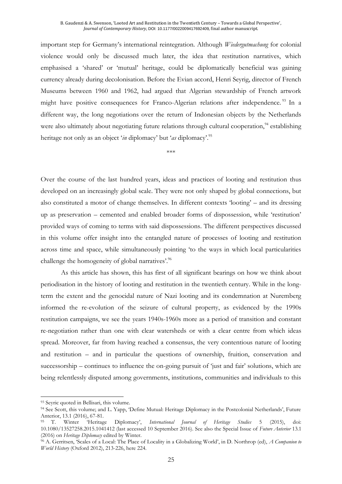important step for Germany's international reintegration. Although *Wiedergutmachung* for colonial violence would only be discussed much later, the idea that restitution narratives, which emphasised a 'shared' or 'mutual' heritage, could be diplomatically beneficial was gaining currency already during decolonisation. Before the Evian accord, Henri Seyrig, director of French Museums between 1960 and 1962, had argued that Algerian stewardship of French artwork might have positive consequences for Franco-Algerian relations after independence.<sup>93</sup> In a different way, the long negotiations over the return of Indonesian objects by the Netherlands were also ultimately about negotiating future relations through cultural cooperation, $94$  establishing heritage not only as an object '*in* diplomacy' but '*as* diplomacy'.<sup>95</sup>

\*\*\*

Over the course of the last hundred years, ideas and practices of looting and restitution thus developed on an increasingly global scale. They were not only shaped by global connections, but also constituted a motor of change themselves. In different contexts 'looting' – and its dressing up as preservation – cemented and enabled broader forms of dispossession, while 'restitution' provided ways of coming to terms with said dispossessions. The different perspectives discussed in this volume offer insight into the entangled nature of processes of looting and restitution across time and space, while simultaneously pointing 'to the ways in which local particularities challenge the homogeneity of global narratives'.<sup>96</sup>

As this article has shown, this has first of all significant bearings on how we think about periodisation in the history of looting and restitution in the twentieth century. While in the longterm the extent and the genocidal nature of Nazi looting and its condemnation at Nuremberg informed the re-evolution of the seizure of cultural property, as evidenced by the 1990s restitution campaigns, we see the years 1940s-1960s more as a period of transition and constant re-negotiation rather than one with clear watersheds or with a clear centre from which ideas spread. Moreover, far from having reached a consensus, the very contentious nature of looting and restitution – and in particular the questions of ownership, fruition, conservation and successorship – continues to influence the on-going pursuit of 'just and fair' solutions, which are being relentlessly disputed among governments, institutions, communities and individuals to this

<sup>93</sup> Seyric quoted in Bellisari, this volume.

<sup>94</sup> See Scott, this volume; and L. Yapp, 'Define Mutual: Heritage Diplomacy in the Postcolonial Netherlands', Future Anterior, 13.1 (2016), 67-81.<br><sup>95</sup> T. Winter Heritage

<sup>95</sup> T. Winter 'Heritage Diplomacy', *International Journal of Heritage Studies* 5 (2015), doi: 10.1080/13527258.2015.1041412 (last accessed 10 September 2016). See also the Special Issue of *Future Anterior* 13.1 (2016) on *Heritage Diplomacy* edited by Winter.

<sup>96</sup> A. Gerritsen, 'Scales of a Local: The Place of Locality in a Globalizing World', in D. Northrop (ed), *A Companion to World History* (Oxford 2012), 213-226, here 224.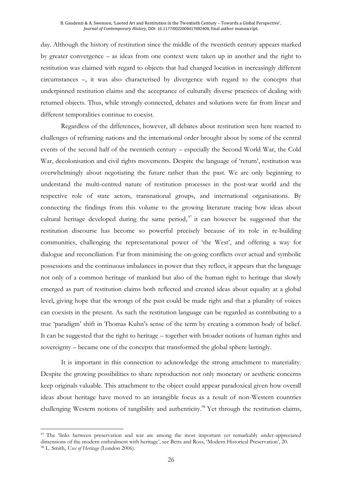day. Although the history of restitution since the middle of the twentieth century appears marked by greater convergence – as ideas from one context were taken up in another and the right to restitution was claimed with regard to objects that had changed location in increasingly different circumstances –, it was also characterised by divergence with regard to the concepts that underpinned restitution claims and the acceptance of culturally diverse practices of dealing with returned objects. Thus, while strongly connected, debates and solutions were far from linear and different temporalities continue to coexist.

Regardless of the differences, however, all debates about restitution seen here reacted to challenges of reframing nations and the international order brought about by some of the central events of the second half of the twentieth century – especially the Second World War, the Cold War, decolonisation and civil rights movements. Despite the language of 'return', restitution was overwhelmingly about negotiating the future rather than the past. We are only beginning to understand the multi-centred nature of restitution processes in the post-war world and the respective role of state actors, transnational groups, and international organisations. By connecting the findings from this volume to the growing literature tracing how ideas about cultural heritage developed during the same period,  $\frac{97}{7}$  it can however be suggested that the restitution discourse has become so powerful precisely because of its role in re-building communities, challenging the representational power of 'the West', and offering a way for dialogue and reconciliation. Far from minimising the on-going conflicts over actual and symbolic possessions and the continuous imbalances in power that they reflect, it appears that the language not only of a common heritage of mankind but also of the human right to heritage that slowly emerged as part of restitution claims both reflected and created ideas about equality at a global level, giving hope that the wrongs of the past could be made right and that a plurality of voices can coexists in the present. As such the restitution language can be regarded as contributing to a true 'paradigm' shift in Thomas Kuhn's sense of the term by creating a common body of belief. It can be suggested that the right to heritage – together with broader notions of human rights and sovereignty – became one of the concepts that transformed the global sphere lastingly.

It is important in this connection to acknowledge the strong attachment to materiality. Despite the growing possibilities to share reproduction not only monetary or aesthetic concerns keep originals valuable. This attachment to the object could appear paradoxical given how overall ideas about heritage have moved to an intangible focus as a result of non-Western countries challenging Western notions of tangibility and authenticity.<sup>98</sup> Yet through the restitution claims,

<sup>&</sup>lt;sup>97</sup> The 'links between preservation and war are among the most important yet remarkably under-appreciated dimensions of the modern enthralment with heritage', see Betts and Ross, 'Modern Historical Preservation', 20. <sup>98</sup> L. Smith, *Uses of Heritage* (London 2006).